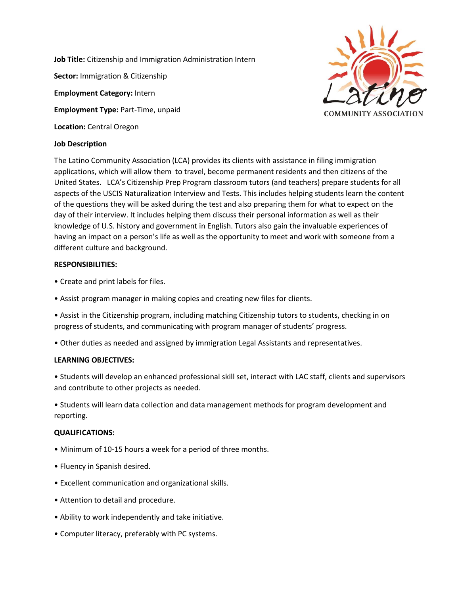**Job Title:** Citizenship and Immigration Administration Intern **Sector:** Immigration & Citizenship **Employment Category:** Intern **Employment Type:** Part-Time, unpaid **Location:** Central Oregon



## **Job Description**

The Latino Community Association (LCA) provides its clients with assistance in filing immigration applications, which will allow them to travel, become permanent residents and then citizens of the United States. LCA's Citizenship Prep Program classroom tutors (and teachers) prepare students for all aspects of the USCIS Naturalization Interview and Tests. This includes helping students learn the content of the questions they will be asked during the test and also preparing them for what to expect on the day of their interview. It includes helping them discuss their personal information as well as their knowledge of U.S. history and government in English. Tutors also gain the invaluable experiences of having an impact on a person's life as well as the opportunity to meet and work with someone from a different culture and background.

### **RESPONSIBILITIES:**

- Create and print labels for files.
- Assist program manager in making copies and creating new files for clients.
- Assist in the Citizenship program, including matching Citizenship tutors to students, checking in on progress of students, and communicating with program manager of students' progress.
- Other duties as needed and assigned by immigration Legal Assistants and representatives.

#### **LEARNING OBJECTIVES:**

• Students will develop an enhanced professional skill set, interact with LAC staff, clients and supervisors and contribute to other projects as needed.

• Students will learn data collection and data management methods for program development and reporting.

#### **QUALIFICATIONS:**

- Minimum of 10-15 hours a week for a period of three months.
- Fluency in Spanish desired.
- Excellent communication and organizational skills.
- Attention to detail and procedure.
- Ability to work independently and take initiative.
- Computer literacy, preferably with PC systems.